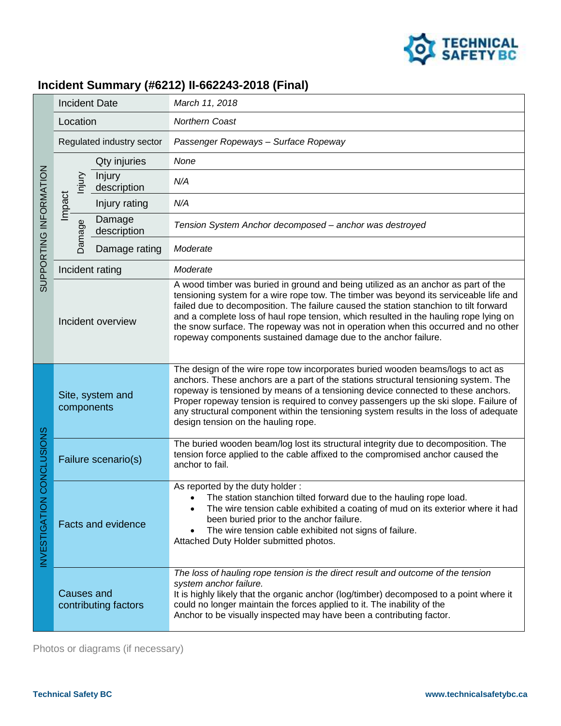

## **Incident Summary (#6212) II-662243-2018 (Final)**

| SUPPORTING INFORMATION                 | <b>Incident Date</b>                      |                       | March 11, 2018                                                                                                                                                                                                                                                                                                                                                                                                                                                                                                       |
|----------------------------------------|-------------------------------------------|-----------------------|----------------------------------------------------------------------------------------------------------------------------------------------------------------------------------------------------------------------------------------------------------------------------------------------------------------------------------------------------------------------------------------------------------------------------------------------------------------------------------------------------------------------|
|                                        | Location                                  |                       | Northern Coast                                                                                                                                                                                                                                                                                                                                                                                                                                                                                                       |
|                                        | Regulated industry sector                 |                       | Passenger Ropeways - Surface Ropeway                                                                                                                                                                                                                                                                                                                                                                                                                                                                                 |
|                                        |                                           | Qty injuries          | None                                                                                                                                                                                                                                                                                                                                                                                                                                                                                                                 |
|                                        | hjury                                     | Injury<br>description | N/A                                                                                                                                                                                                                                                                                                                                                                                                                                                                                                                  |
|                                        | Impact                                    | Injury rating         | N/A                                                                                                                                                                                                                                                                                                                                                                                                                                                                                                                  |
|                                        | Damage                                    | Damage<br>description | Tension System Anchor decomposed - anchor was destroyed                                                                                                                                                                                                                                                                                                                                                                                                                                                              |
|                                        |                                           | Damage rating         | Moderate                                                                                                                                                                                                                                                                                                                                                                                                                                                                                                             |
|                                        | Incident rating                           |                       | Moderate                                                                                                                                                                                                                                                                                                                                                                                                                                                                                                             |
|                                        | Incident overview                         |                       | A wood timber was buried in ground and being utilized as an anchor as part of the<br>tensioning system for a wire rope tow. The timber was beyond its serviceable life and<br>failed due to decomposition. The failure caused the station stanchion to tilt forward<br>and a complete loss of haul rope tension, which resulted in the hauling rope lying on<br>the snow surface. The ropeway was not in operation when this occurred and no other<br>ropeway components sustained damage due to the anchor failure. |
| <b>CONCLUSIONS</b><br>z<br>NVESTIGATIO | Site, system and<br>components            |                       | The design of the wire rope tow incorporates buried wooden beams/logs to act as<br>anchors. These anchors are a part of the stations structural tensioning system. The<br>ropeway is tensioned by means of a tensioning device connected to these anchors.<br>Proper ropeway tension is required to convey passengers up the ski slope. Failure of<br>any structural component within the tensioning system results in the loss of adequate<br>design tension on the hauling rope.                                   |
|                                        | Failure scenario(s)                       |                       | The buried wooden beam/log lost its structural integrity due to decomposition. The<br>tension force applied to the cable affixed to the compromised anchor caused the<br>anchor to fail.                                                                                                                                                                                                                                                                                                                             |
|                                        | <b>Facts and evidence</b>                 |                       | As reported by the duty holder:<br>The station stanchion tilted forward due to the hauling rope load.<br>The wire tension cable exhibited a coating of mud on its exterior where it had<br>been buried prior to the anchor failure.<br>The wire tension cable exhibited not signs of failure.<br>Attached Duty Holder submitted photos.                                                                                                                                                                              |
|                                        | <b>Causes and</b><br>contributing factors |                       | The loss of hauling rope tension is the direct result and outcome of the tension<br>system anchor failure.<br>It is highly likely that the organic anchor (log/timber) decomposed to a point where it<br>could no longer maintain the forces applied to it. The inability of the<br>Anchor to be visually inspected may have been a contributing factor.                                                                                                                                                             |

Photos or diagrams (if necessary)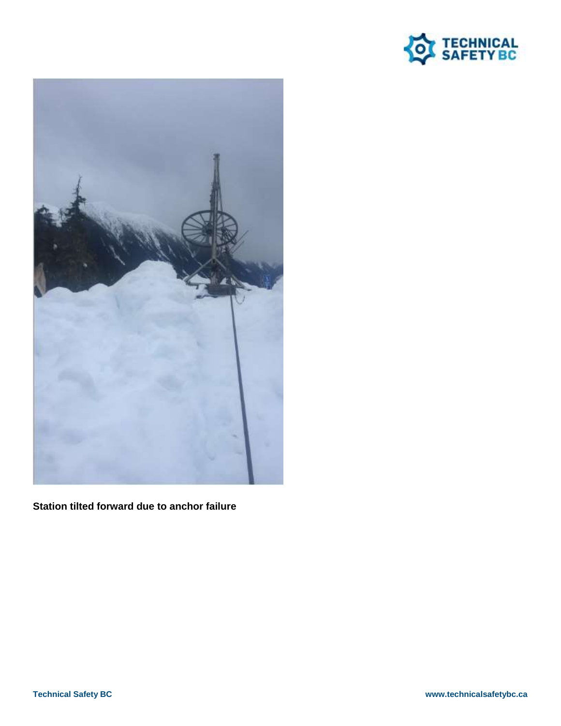



**Station tilted forward due to anchor failure**